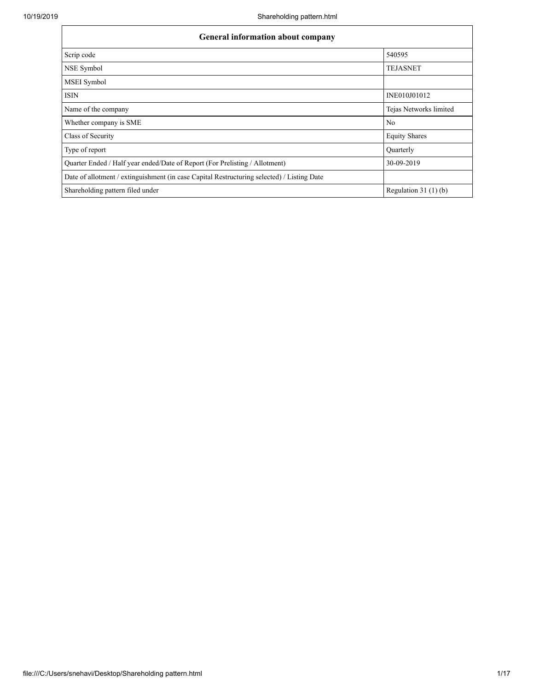| <b>General information about company</b>                                                   |                        |  |  |  |  |  |  |  |
|--------------------------------------------------------------------------------------------|------------------------|--|--|--|--|--|--|--|
| Scrip code                                                                                 | 540595                 |  |  |  |  |  |  |  |
| NSE Symbol                                                                                 | <b>TEJASNET</b>        |  |  |  |  |  |  |  |
| MSEI Symbol                                                                                |                        |  |  |  |  |  |  |  |
| <b>ISIN</b>                                                                                | INE010J01012           |  |  |  |  |  |  |  |
| Name of the company                                                                        | Tejas Networks limited |  |  |  |  |  |  |  |
| Whether company is SME                                                                     | No                     |  |  |  |  |  |  |  |
| Class of Security                                                                          | <b>Equity Shares</b>   |  |  |  |  |  |  |  |
| Type of report                                                                             | Quarterly              |  |  |  |  |  |  |  |
| Quarter Ended / Half year ended/Date of Report (For Prelisting / Allotment)                | 30-09-2019             |  |  |  |  |  |  |  |
| Date of allotment / extinguishment (in case Capital Restructuring selected) / Listing Date |                        |  |  |  |  |  |  |  |
| Shareholding pattern filed under                                                           | Regulation $31(1)(b)$  |  |  |  |  |  |  |  |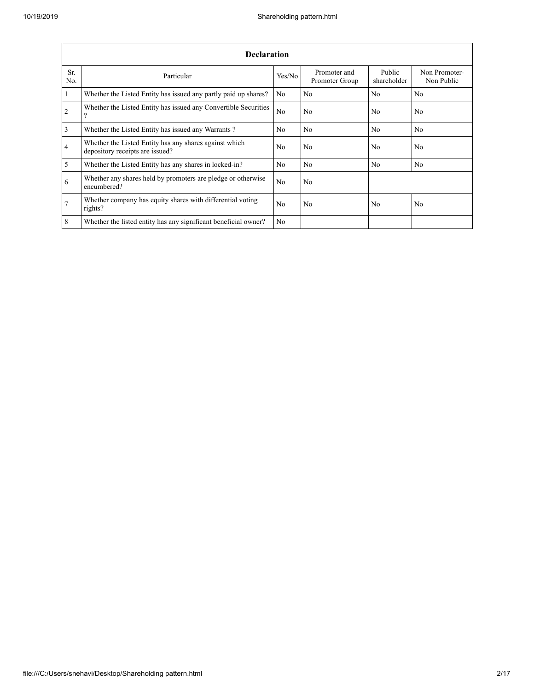|                 | <b>Declaration</b>                                                                        |                |                                |                       |                             |  |  |  |  |  |  |  |  |
|-----------------|-------------------------------------------------------------------------------------------|----------------|--------------------------------|-----------------------|-----------------------------|--|--|--|--|--|--|--|--|
| Sr.<br>No.      | Particular                                                                                | Yes/No         | Promoter and<br>Promoter Group | Public<br>shareholder | Non Promoter-<br>Non Public |  |  |  |  |  |  |  |  |
| $\overline{1}$  | Whether the Listed Entity has issued any partly paid up shares?                           | No             | No                             | No                    | No                          |  |  |  |  |  |  |  |  |
| $\overline{2}$  | Whether the Listed Entity has issued any Convertible Securities<br>?                      | No             | No                             | No                    | No                          |  |  |  |  |  |  |  |  |
| $\overline{3}$  | Whether the Listed Entity has issued any Warrants?                                        | No.            | No                             | N <sub>0</sub>        | N <sub>0</sub>              |  |  |  |  |  |  |  |  |
| $\overline{4}$  | Whether the Listed Entity has any shares against which<br>depository receipts are issued? | No             | No                             | No                    | No                          |  |  |  |  |  |  |  |  |
| $\overline{5}$  | Whether the Listed Entity has any shares in locked-in?                                    | No             | No                             | No                    | No                          |  |  |  |  |  |  |  |  |
| 6               | Whether any shares held by promoters are pledge or otherwise<br>encumbered?               | N <sub>0</sub> | No                             |                       |                             |  |  |  |  |  |  |  |  |
| $7\phantom{.0}$ | Whether company has equity shares with differential voting<br>rights?                     | No.            | No                             | No                    | No                          |  |  |  |  |  |  |  |  |
| $8\phantom{.}8$ | Whether the listed entity has any significant beneficial owner?                           | No             |                                |                       |                             |  |  |  |  |  |  |  |  |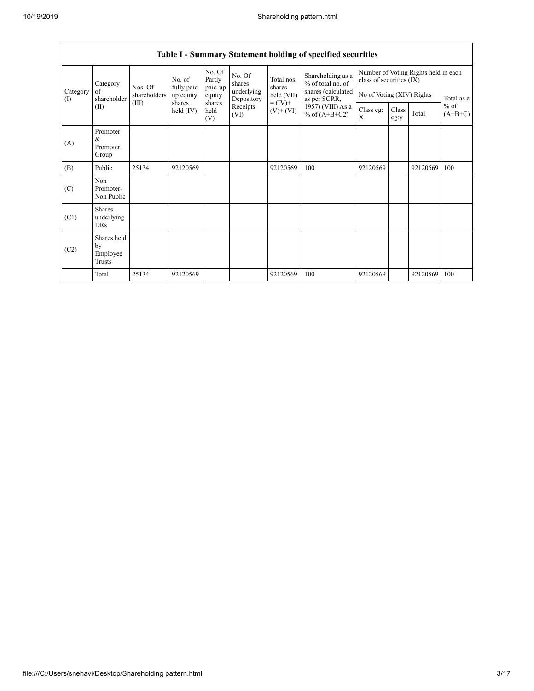| Category<br>(I) | Category<br>Nos. Of<br>of<br>shareholder<br>(III)<br>(II) |              | No. of<br>fully paid | No. Of<br>Partly<br>paid-up | No. Of<br>shares         | Total nos.<br>shares                       | Number of Voting Rights held in each<br>class of securities (IX) |                           |               |          |                     |  |  |
|-----------------|-----------------------------------------------------------|--------------|----------------------|-----------------------------|--------------------------|--------------------------------------------|------------------------------------------------------------------|---------------------------|---------------|----------|---------------------|--|--|
|                 |                                                           | shareholders | up equity            | equity                      | underlying<br>Depository | held (VII)<br>$= (IV) +$<br>$(V)$ + $(VI)$ | shares (calculated<br>as per SCRR,                               | No of Voting (XIV) Rights |               |          | Total as a          |  |  |
|                 |                                                           |              | shares<br>held (IV)  | shares<br>held<br>(V)       | Receipts<br>(VI)         |                                            | 1957) (VIII) As a<br>% of $(A+B+C2)$                             | Class eg:<br>X            | Class<br>eg:y | Total    | $%$ of<br>$(A+B+C)$ |  |  |
| (A)             | Promoter<br>&<br>Promoter<br>Group                        |              |                      |                             |                          |                                            |                                                                  |                           |               |          |                     |  |  |
| (B)             | Public                                                    | 25134        | 92120569             |                             |                          | 92120569                                   | 100                                                              | 92120569                  |               | 92120569 | 100                 |  |  |
| (C)             | Non<br>Promoter-<br>Non Public                            |              |                      |                             |                          |                                            |                                                                  |                           |               |          |                     |  |  |
| (C1)            | <b>Shares</b><br>underlying<br>DRs                        |              |                      |                             |                          |                                            |                                                                  |                           |               |          |                     |  |  |
| (C2)            | Shares held<br>by<br>Employee<br>Trusts                   |              |                      |                             |                          |                                            |                                                                  |                           |               |          |                     |  |  |
|                 | Total                                                     | 25134        | 92120569             |                             |                          | 92120569                                   | 100                                                              | 92120569                  |               | 92120569 | 100                 |  |  |

## **Table I - Summary Statement holding of specified securities**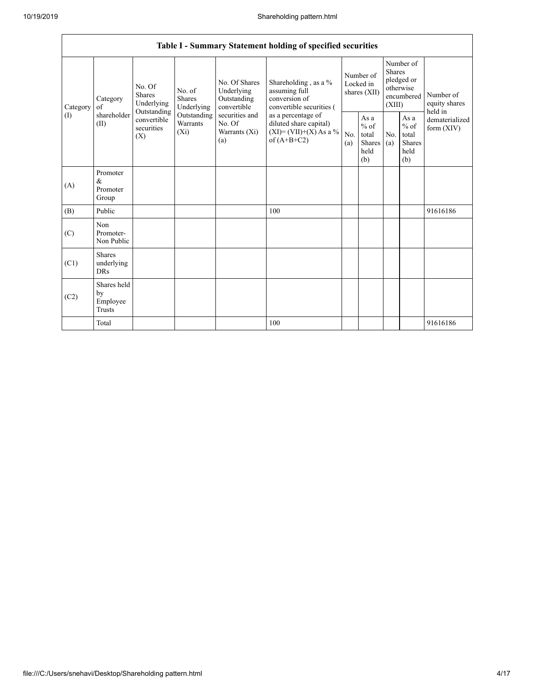|                 |                                           |                                                 |                                |                                                                                        | Table I - Summary Statement holding of specified securities                        |                                                                                          |                                        |                                                  |                                                    |                                                         |
|-----------------|-------------------------------------------|-------------------------------------------------|--------------------------------|----------------------------------------------------------------------------------------|------------------------------------------------------------------------------------|------------------------------------------------------------------------------------------|----------------------------------------|--------------------------------------------------|----------------------------------------------------|---------------------------------------------------------|
| Category<br>(1) | Category<br>of<br>shareholder<br>(II)     | No. Of<br><b>Shares</b><br>Underlying           | No. of<br>Shares<br>Underlying | No. Of Shares<br>Underlying<br>Outstanding<br>convertible                              | Shareholding, as a %<br>assuming full<br>conversion of<br>convertible securities ( |                                                                                          | Number of<br>Locked in<br>shares (XII) | Shares<br>(XIII)                                 | Number of<br>pledged or<br>otherwise<br>encumbered | Number of<br>equity shares                              |
|                 |                                           | Outstanding<br>convertible<br>securities<br>(X) |                                | securities and<br>Outstanding<br>Warrants<br>No. Of<br>$(X_i)$<br>Warrants (Xi)<br>(a) |                                                                                    | as a percentage of<br>diluted share capital)<br>$(XI)=(VII)+(X)$ As a %<br>of $(A+B+C2)$ |                                        | As a<br>$%$ of<br>total<br>Shares<br>held<br>(b) | No.<br>(a)                                         | As a<br>$%$ of<br>total<br><b>Shares</b><br>held<br>(b) |
| (A)             | Promoter<br>&<br>Promoter<br>Group        |                                                 |                                |                                                                                        |                                                                                    |                                                                                          |                                        |                                                  |                                                    |                                                         |
| (B)             | Public                                    |                                                 |                                |                                                                                        | 100                                                                                |                                                                                          |                                        |                                                  |                                                    | 91616186                                                |
| (C)             | Non<br>Promoter-<br>Non Public            |                                                 |                                |                                                                                        |                                                                                    |                                                                                          |                                        |                                                  |                                                    |                                                         |
| (C1)            | <b>Shares</b><br>underlying<br><b>DRs</b> |                                                 |                                |                                                                                        |                                                                                    |                                                                                          |                                        |                                                  |                                                    |                                                         |
| (C2)            | Shares held<br>by<br>Employee<br>Trusts   |                                                 |                                |                                                                                        |                                                                                    |                                                                                          |                                        |                                                  |                                                    |                                                         |
|                 | Total                                     |                                                 |                                |                                                                                        | 100                                                                                |                                                                                          |                                        |                                                  |                                                    | 91616186                                                |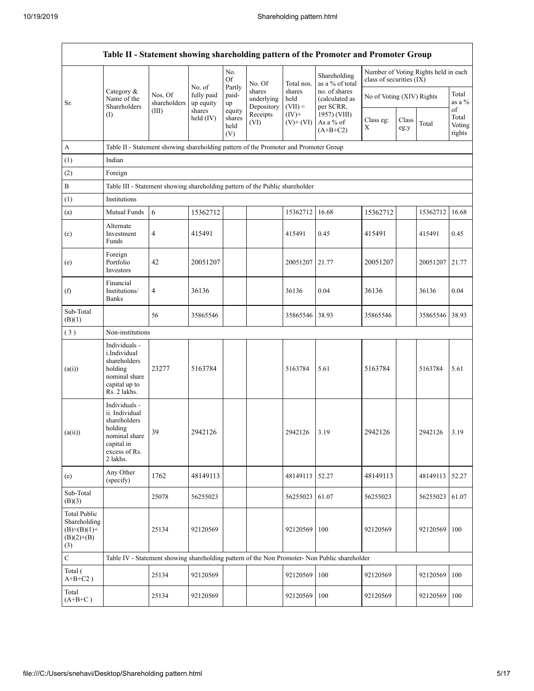|                                                                             |                                                                                                                        |                         |                         |                                 |                                    |                             | Table II - Statement showing shareholding pattern of the Promoter and Promoter Group          |                           |               |                                      |                           |
|-----------------------------------------------------------------------------|------------------------------------------------------------------------------------------------------------------------|-------------------------|-------------------------|---------------------------------|------------------------------------|-----------------------------|-----------------------------------------------------------------------------------------------|---------------------------|---------------|--------------------------------------|---------------------------|
|                                                                             |                                                                                                                        |                         | No. of                  | No.<br>Of                       | No. Of                             | Total nos.                  | Shareholding<br>as a % of total                                                               | class of securities (IX)  |               | Number of Voting Rights held in each |                           |
| Sr.                                                                         | Category &<br>Name of the<br>Shareholders                                                                              | Nos. Of<br>shareholders | fully paid<br>up equity | Partly<br>paid-<br>up           | shares<br>underlying<br>Depository | shares<br>held<br>$(VII) =$ | no. of shares<br>(calculated as<br>per SCRR,                                                  | No of Voting (XIV) Rights |               |                                      | Total<br>as a %<br>of     |
|                                                                             | $($ I                                                                                                                  | (III)                   | shares<br>held $(IV)$   | equity<br>shares<br>held<br>(V) | Receipts<br>(VI)                   | $(IV)$ +<br>$(V)$ + $(VI)$  | 1957) (VIII)<br>As a % of<br>$(A+B+C2)$                                                       | Class eg:<br>Χ            | Class<br>eg:y | Total                                | Total<br>Voting<br>rights |
| A                                                                           | Table II - Statement showing shareholding pattern of the Promoter and Promoter Group                                   |                         |                         |                                 |                                    |                             |                                                                                               |                           |               |                                      |                           |
| (1)                                                                         | Indian                                                                                                                 |                         |                         |                                 |                                    |                             |                                                                                               |                           |               |                                      |                           |
| (2)                                                                         | Foreign                                                                                                                |                         |                         |                                 |                                    |                             |                                                                                               |                           |               |                                      |                           |
| $\, {\bf B}$                                                                | Table III - Statement showing shareholding pattern of the Public shareholder                                           |                         |                         |                                 |                                    |                             |                                                                                               |                           |               |                                      |                           |
| (1)                                                                         | Institutions                                                                                                           |                         |                         |                                 |                                    |                             |                                                                                               |                           |               |                                      |                           |
| (a)                                                                         | Mutual Funds                                                                                                           | 6                       | 15362712                |                                 |                                    | 15362712                    | 16.68                                                                                         | 15362712                  |               | 15362712                             | 16.68                     |
| (c)                                                                         | Alternate<br>Investment<br>Funds                                                                                       | 4                       | 415491                  |                                 |                                    | 415491                      | 0.45                                                                                          | 415491                    |               | 415491                               | 0.45                      |
| (e)                                                                         | Foreign<br>Portfolio<br>Investors                                                                                      | 42                      | 20051207                |                                 |                                    | 20051207                    | 21.77                                                                                         | 20051207                  |               | 20051207                             | 21.77                     |
| (f)                                                                         | Financial<br>Institutions/<br><b>Banks</b>                                                                             | $\overline{4}$          | 36136                   |                                 |                                    | 36136                       | 0.04                                                                                          | 36136                     |               | 36136                                | 0.04                      |
| Sub-Total<br>(B)(1)                                                         |                                                                                                                        | 56                      | 35865546                |                                 |                                    | 35865546                    | 38.93                                                                                         | 35865546                  |               | 35865546                             | 38.93                     |
| (3)                                                                         | Non-institutions                                                                                                       |                         |                         |                                 |                                    |                             |                                                                                               |                           |               |                                      |                           |
| (a(i))                                                                      | Individuals -<br>i.Individual<br>shareholders<br>holding<br>nominal share<br>capital up to<br>Rs. 2 lakhs.             | 23277                   | 5163784                 |                                 |                                    | 5163784                     | 5.61                                                                                          | 5163784                   |               | 5163784                              | 5.61                      |
| (a(ii))                                                                     | Individuals -<br>ii. Individual<br>shareholders<br>holding<br>nominal share<br>capital in<br>excess of Rs.<br>2 lakhs. | 39                      | 2942126                 |                                 |                                    | 2942126                     | 3.19                                                                                          | 2942126                   |               | 2942126                              | 3.19                      |
| (e)                                                                         | Any Other<br>(specify)                                                                                                 | 1762                    | 48149113                |                                 |                                    | 48149113                    | 52.27                                                                                         | 48149113                  |               | 48149113                             | 52.27                     |
| Sub-Total<br>(B)(3)                                                         |                                                                                                                        | 25078                   | 56255023                |                                 |                                    | 56255023                    | 61.07                                                                                         | 56255023                  |               | 56255023                             | 61.07                     |
| <b>Total Public</b><br>Shareholding<br>$(B)=(B)(1)+$<br>$(B)(2)+(B)$<br>(3) |                                                                                                                        | 25134                   | 92120569                |                                 |                                    | 92120569                    | 100                                                                                           | 92120569                  |               | 92120569                             | 100                       |
| $\mathbf C$                                                                 |                                                                                                                        |                         |                         |                                 |                                    |                             | Table IV - Statement showing shareholding pattern of the Non Promoter- Non Public shareholder |                           |               |                                      |                           |
| Total (<br>$A+B+C2$ )                                                       |                                                                                                                        | 25134                   | 92120569                |                                 |                                    | 92120569                    | 100                                                                                           | 92120569                  |               | 92120569                             | 100                       |
| Total<br>$(A+B+C)$                                                          |                                                                                                                        | 25134                   | 92120569                |                                 |                                    | 92120569                    | 100                                                                                           | 92120569                  |               | 92120569                             | 100                       |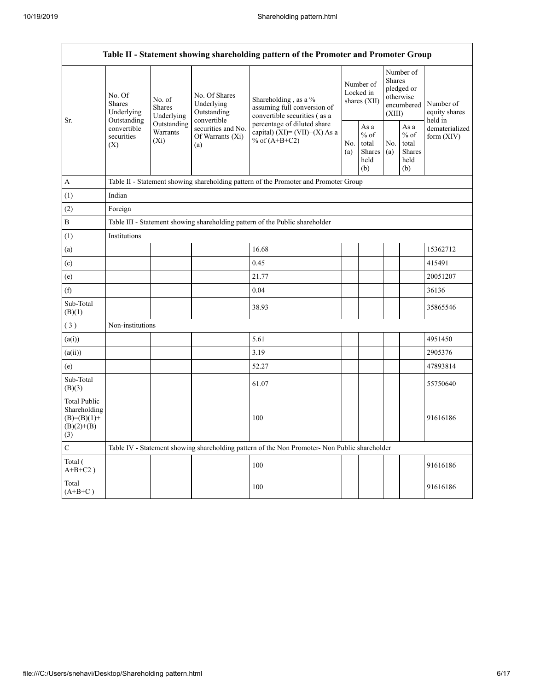| Table II - Statement showing shareholding pattern of the Promoter and Promoter Group |                                                                                               |                                       |                                                              |                                                                                                  |                                        |                                                  |                                                                        |                                                  |                                       |  |  |  |
|--------------------------------------------------------------------------------------|-----------------------------------------------------------------------------------------------|---------------------------------------|--------------------------------------------------------------|--------------------------------------------------------------------------------------------------|----------------------------------------|--------------------------------------------------|------------------------------------------------------------------------|--------------------------------------------------|---------------------------------------|--|--|--|
|                                                                                      | No. Of<br>Shares<br>Underlying                                                                | No. of<br><b>Shares</b><br>Underlying | No. Of Shares<br>Underlying<br>Outstanding                   | Shareholding, as a %<br>assuming full conversion of<br>convertible securities (as a              | Number of<br>Locked in<br>shares (XII) |                                                  | Number of<br>Shares<br>pledged or<br>otherwise<br>encumbered<br>(XIII) |                                                  | Number of<br>equity shares<br>held in |  |  |  |
| Sr.                                                                                  | Outstanding<br>convertible<br>securities<br>(X)                                               | Outstanding<br>Warrants<br>$(X_i)$    | convertible<br>securities and No.<br>Of Warrants (Xi)<br>(a) | percentage of diluted share<br>capital) $(XI) = (VII)+(X)$ As a<br>% of $(A+B+C2)$<br>No.<br>(a) |                                        | As a<br>$%$ of<br>total<br>Shares<br>held<br>(b) | No.<br>(a)                                                             | As a<br>$%$ of<br>total<br>Shares<br>held<br>(b) | dematerialized<br>form $(XIV)$        |  |  |  |
| A                                                                                    |                                                                                               |                                       |                                                              | Table II - Statement showing shareholding pattern of the Promoter and Promoter Group             |                                        |                                                  |                                                                        |                                                  |                                       |  |  |  |
| (1)                                                                                  | Indian                                                                                        |                                       |                                                              |                                                                                                  |                                        |                                                  |                                                                        |                                                  |                                       |  |  |  |
| (2)                                                                                  | Foreign                                                                                       |                                       |                                                              |                                                                                                  |                                        |                                                  |                                                                        |                                                  |                                       |  |  |  |
| B                                                                                    |                                                                                               |                                       |                                                              | Table III - Statement showing shareholding pattern of the Public shareholder                     |                                        |                                                  |                                                                        |                                                  |                                       |  |  |  |
| (1)                                                                                  | Institutions                                                                                  |                                       |                                                              |                                                                                                  |                                        |                                                  |                                                                        |                                                  |                                       |  |  |  |
| (a)                                                                                  |                                                                                               |                                       |                                                              | 16.68                                                                                            |                                        |                                                  |                                                                        |                                                  | 15362712                              |  |  |  |
| (c)                                                                                  |                                                                                               |                                       |                                                              | 0.45                                                                                             |                                        |                                                  |                                                                        |                                                  | 415491                                |  |  |  |
| (e)                                                                                  |                                                                                               |                                       |                                                              | 21.77                                                                                            |                                        |                                                  |                                                                        |                                                  | 20051207                              |  |  |  |
| (f)                                                                                  |                                                                                               |                                       |                                                              | 0.04                                                                                             |                                        |                                                  |                                                                        |                                                  | 36136                                 |  |  |  |
| Sub-Total<br>(B)(1)                                                                  |                                                                                               |                                       |                                                              | 38.93                                                                                            |                                        |                                                  |                                                                        |                                                  | 35865546                              |  |  |  |
| (3)                                                                                  | Non-institutions                                                                              |                                       |                                                              |                                                                                                  |                                        |                                                  |                                                                        |                                                  |                                       |  |  |  |
| (a(i))                                                                               |                                                                                               |                                       |                                                              | 5.61                                                                                             |                                        |                                                  |                                                                        |                                                  | 4951450                               |  |  |  |
| (a(ii))                                                                              |                                                                                               |                                       |                                                              | 3.19                                                                                             |                                        |                                                  |                                                                        |                                                  | 2905376                               |  |  |  |
| (e)                                                                                  |                                                                                               |                                       |                                                              | 52.27                                                                                            |                                        |                                                  |                                                                        |                                                  | 47893814                              |  |  |  |
| Sub-Total<br>(B)(3)                                                                  |                                                                                               |                                       |                                                              | 61.07                                                                                            |                                        |                                                  |                                                                        |                                                  | 55750640                              |  |  |  |
| <b>Total Public</b><br>Shareholding<br>$(B)=(B)(1)+$<br>$(B)(2)+(B)$<br>(3)          |                                                                                               |                                       |                                                              | 100                                                                                              |                                        |                                                  |                                                                        |                                                  | 91616186                              |  |  |  |
| $\mathbf C$                                                                          | Table IV - Statement showing shareholding pattern of the Non Promoter- Non Public shareholder |                                       |                                                              |                                                                                                  |                                        |                                                  |                                                                        |                                                  |                                       |  |  |  |
| Total (<br>$A+B+C2$ )                                                                |                                                                                               |                                       |                                                              | 100                                                                                              |                                        |                                                  |                                                                        |                                                  | 91616186                              |  |  |  |
| Total<br>$(A+B+C)$                                                                   |                                                                                               |                                       |                                                              | 100                                                                                              |                                        |                                                  |                                                                        |                                                  | 91616186                              |  |  |  |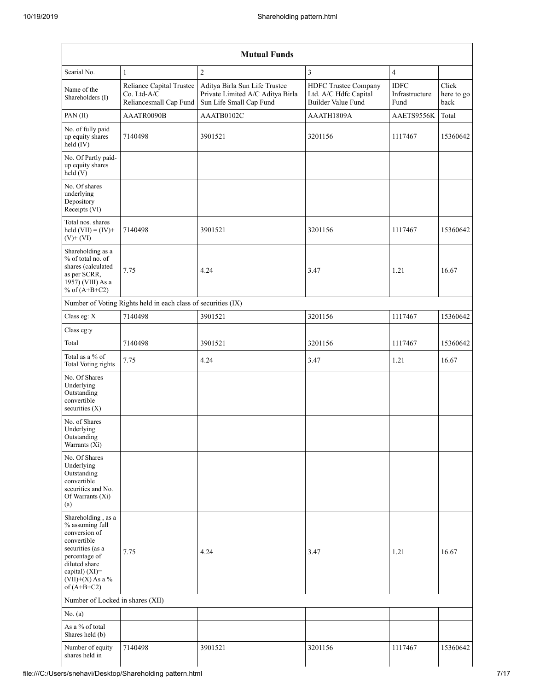|                                                                                                                                                                                         |                                                                   | <b>Mutual Funds</b>                                                                          |                                                                     |                                       |                             |
|-----------------------------------------------------------------------------------------------------------------------------------------------------------------------------------------|-------------------------------------------------------------------|----------------------------------------------------------------------------------------------|---------------------------------------------------------------------|---------------------------------------|-----------------------------|
| Searial No.                                                                                                                                                                             | $\mathbf{1}$                                                      | $\overline{c}$                                                                               | $\overline{3}$                                                      | $\overline{4}$                        |                             |
| Name of the<br>Shareholders (I)                                                                                                                                                         | Reliance Capital Trustee<br>Co. Ltd-A/C<br>Reliancesmall Cap Fund | Aditya Birla Sun Life Trustee<br>Private Limited A/C Aditya Birla<br>Sun Life Small Cap Fund | HDFC Trustee Company<br>Ltd. A/C Hdfc Capital<br>Builder Value Fund | <b>IDFC</b><br>Infrastructure<br>Fund | Click<br>here to go<br>back |
| PAN (II)                                                                                                                                                                                | AAATR0090B                                                        | AAATB0102C                                                                                   | AAATH1809A                                                          | AAETS9556K                            | Total                       |
| No. of fully paid<br>up equity shares<br>held (IV)                                                                                                                                      | 7140498                                                           | 3901521                                                                                      | 3201156                                                             | 1117467                               | 15360642                    |
| No. Of Partly paid-<br>up equity shares<br>held (V)                                                                                                                                     |                                                                   |                                                                                              |                                                                     |                                       |                             |
| No. Of shares<br>underlying<br>Depository<br>Receipts (VI)                                                                                                                              |                                                                   |                                                                                              |                                                                     |                                       |                             |
| Total nos. shares<br>held $(VII) = (IV) +$<br>$(V)$ + $(VI)$                                                                                                                            | 7140498                                                           | 3901521                                                                                      | 3201156                                                             | 1117467                               | 15360642                    |
| Shareholding as a<br>% of total no. of<br>shares (calculated<br>as per SCRR,<br>1957) (VIII) As a<br>% of $(A+B+C2)$                                                                    | 7.75                                                              | 4.24                                                                                         | 3.47                                                                | 1.21                                  | 16.67                       |
|                                                                                                                                                                                         | Number of Voting Rights held in each class of securities (IX)     |                                                                                              |                                                                     |                                       |                             |
| Class eg: X                                                                                                                                                                             | 7140498                                                           | 3901521                                                                                      | 3201156                                                             | 1117467                               | 15360642                    |
| Class eg:y                                                                                                                                                                              |                                                                   |                                                                                              |                                                                     |                                       |                             |
| Total                                                                                                                                                                                   | 7140498                                                           | 3901521                                                                                      | 3201156                                                             | 1117467                               | 15360642                    |
| Total as a % of<br>Total Voting rights                                                                                                                                                  | 7.75                                                              | 4.24                                                                                         | 3.47                                                                | 1.21                                  | 16.67                       |
| No. Of Shares<br>Underlying<br>Outstanding<br>convertible<br>securities $(X)$                                                                                                           |                                                                   |                                                                                              |                                                                     |                                       |                             |
| No. of Shares<br>Underlying<br>Outstanding<br>Warrants (Xi)                                                                                                                             |                                                                   |                                                                                              |                                                                     |                                       |                             |
| No. Of Shares<br>Underlying<br>Outstanding<br>convertible<br>securities and No.<br>Of Warrants (Xi)<br>(a)                                                                              |                                                                   |                                                                                              |                                                                     |                                       |                             |
| Shareholding, as a<br>% assuming full<br>conversion of<br>convertible<br>securities (as a<br>percentage of<br>diluted share<br>capital) $(XI)$ =<br>$(VII)+(X)$ As a %<br>of $(A+B+C2)$ | 7.75                                                              | 4.24                                                                                         | 3.47                                                                | 1.21                                  | 16.67                       |
| Number of Locked in shares (XII)                                                                                                                                                        |                                                                   |                                                                                              |                                                                     |                                       |                             |
| No. (a)                                                                                                                                                                                 |                                                                   |                                                                                              |                                                                     |                                       |                             |
| As a $\%$ of total<br>Shares held (b)                                                                                                                                                   |                                                                   |                                                                                              |                                                                     |                                       |                             |
| Number of equity<br>shares held in                                                                                                                                                      | 7140498                                                           | 3901521                                                                                      | 3201156                                                             | 1117467                               | 15360642                    |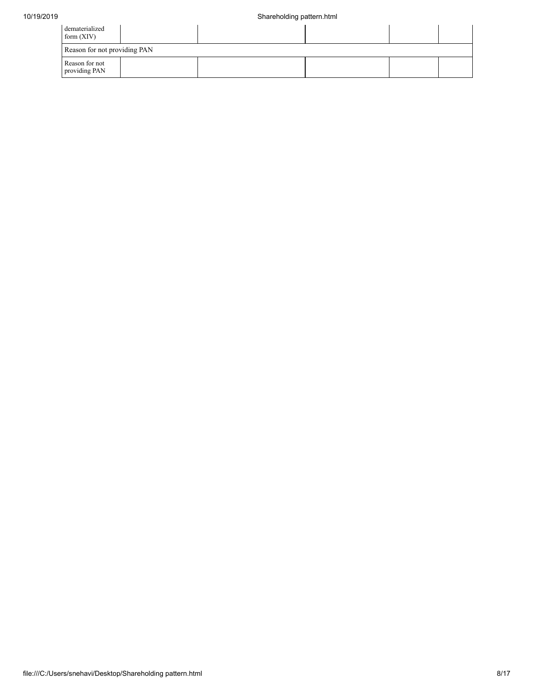| dematerialized<br>form $(XIV)$  |  |  |  |  |  |  |  |  |  |  |
|---------------------------------|--|--|--|--|--|--|--|--|--|--|
| Reason for not providing PAN    |  |  |  |  |  |  |  |  |  |  |
| Reason for not<br>providing PAN |  |  |  |  |  |  |  |  |  |  |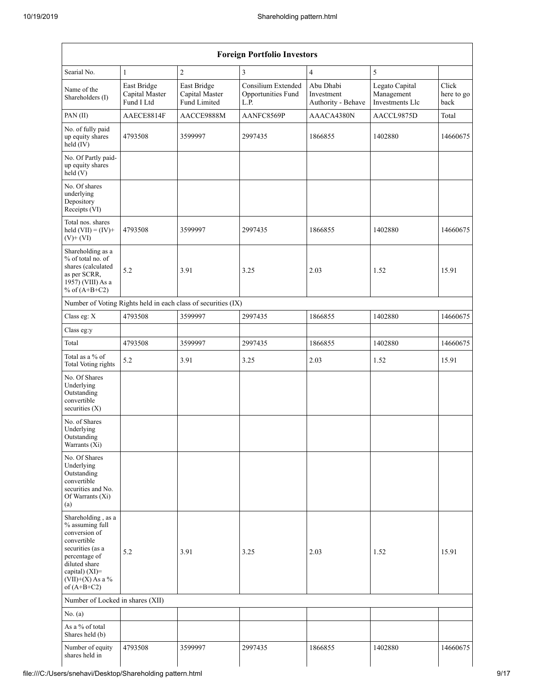| <b>Foreign Portfolio Investors</b>                                                                                                                                                   |                                             |                                                               |                                                  |                                               |                                                 |                             |  |  |  |  |  |  |
|--------------------------------------------------------------------------------------------------------------------------------------------------------------------------------------|---------------------------------------------|---------------------------------------------------------------|--------------------------------------------------|-----------------------------------------------|-------------------------------------------------|-----------------------------|--|--|--|--|--|--|
| Searial No.                                                                                                                                                                          | $\mathbf{1}$                                | $\overline{c}$                                                | 3                                                | $\overline{4}$                                | 5                                               |                             |  |  |  |  |  |  |
| Name of the<br>Shareholders (I)                                                                                                                                                      | East Bridge<br>Capital Master<br>Fund I Ltd | East Bridge<br>Capital Master<br>Fund Limited                 | Consilium Extended<br>Opportunities Fund<br>L.P. | Abu Dhabi<br>Investment<br>Authority - Behave | Legato Capital<br>Management<br>Investments Llc | Click<br>here to go<br>back |  |  |  |  |  |  |
| PAN(II)                                                                                                                                                                              | AAECE8814F                                  | AACCE9888M                                                    | AANFC8569P                                       | AAACA4380N                                    | AACCL9875D                                      | Total                       |  |  |  |  |  |  |
| No. of fully paid<br>up equity shares<br>$held$ (IV)                                                                                                                                 | 4793508<br>3599997                          |                                                               | 2997435                                          | 1866855                                       | 1402880                                         | 14660675                    |  |  |  |  |  |  |
| No. Of Partly paid-<br>up equity shares<br>held (V)                                                                                                                                  |                                             |                                                               |                                                  |                                               |                                                 |                             |  |  |  |  |  |  |
| No. Of shares<br>underlying<br>Depository<br>Receipts (VI)                                                                                                                           |                                             |                                                               |                                                  |                                               |                                                 |                             |  |  |  |  |  |  |
| Total nos. shares<br>held $(VII) = (IV) +$<br>$(V)$ + $(VI)$                                                                                                                         | 4793508                                     | 3599997                                                       | 2997435                                          | 1866855                                       | 1402880                                         | 14660675                    |  |  |  |  |  |  |
| Shareholding as a<br>% of total no. of<br>shares (calculated<br>as per SCRR,<br>1957) (VIII) As a<br>% of $(A+B+C2)$                                                                 | 5.2                                         | 3.91                                                          | 3.25                                             | 2.03                                          | 1.52                                            | 15.91                       |  |  |  |  |  |  |
|                                                                                                                                                                                      |                                             | Number of Voting Rights held in each class of securities (IX) |                                                  |                                               |                                                 |                             |  |  |  |  |  |  |
| Class eg: X                                                                                                                                                                          | 4793508                                     | 3599997                                                       | 2997435                                          | 1866855                                       | 1402880                                         | 14660675                    |  |  |  |  |  |  |
| Class eg:y                                                                                                                                                                           |                                             |                                                               |                                                  |                                               |                                                 |                             |  |  |  |  |  |  |
| Total                                                                                                                                                                                | 4793508                                     | 3599997                                                       | 2997435                                          | 1866855                                       | 1402880                                         | 14660675                    |  |  |  |  |  |  |
| Total as a $\%$ of<br>Total Voting rights                                                                                                                                            | 5.2                                         | 3.91                                                          | 3.25                                             | 2.03                                          | 1.52                                            | 15.91                       |  |  |  |  |  |  |
| No. Of Shares<br>Underlying<br>Outstanding<br>convertible<br>securities $(X)$                                                                                                        |                                             |                                                               |                                                  |                                               |                                                 |                             |  |  |  |  |  |  |
| No. of Shares<br>Underlying<br>Outstanding<br>Warrants (Xi)                                                                                                                          |                                             |                                                               |                                                  |                                               |                                                 |                             |  |  |  |  |  |  |
| No. Of Shares<br>Underlying<br>Outstanding<br>convertible<br>securities and No.<br>Of Warrants (Xi)<br>(a)                                                                           |                                             |                                                               |                                                  |                                               |                                                 |                             |  |  |  |  |  |  |
| Shareholding, as a<br>% assuming full<br>conversion of<br>convertible<br>securities (as a<br>percentage of<br>diluted share<br>capital) (XI)=<br>$(VII)+(X)$ As a %<br>of $(A+B+C2)$ | 5.2                                         | 3.91                                                          | 3.25                                             | 2.03                                          | 1.52                                            | 15.91                       |  |  |  |  |  |  |
| Number of Locked in shares (XII)                                                                                                                                                     |                                             |                                                               |                                                  |                                               |                                                 |                             |  |  |  |  |  |  |
| No. (a)                                                                                                                                                                              |                                             |                                                               |                                                  |                                               |                                                 |                             |  |  |  |  |  |  |
| As a % of total<br>Shares held (b)                                                                                                                                                   |                                             |                                                               |                                                  |                                               |                                                 |                             |  |  |  |  |  |  |
| Number of equity<br>shares held in                                                                                                                                                   | 4793508                                     | 3599997                                                       | 2997435                                          | 1866855                                       | 1402880                                         | 14660675                    |  |  |  |  |  |  |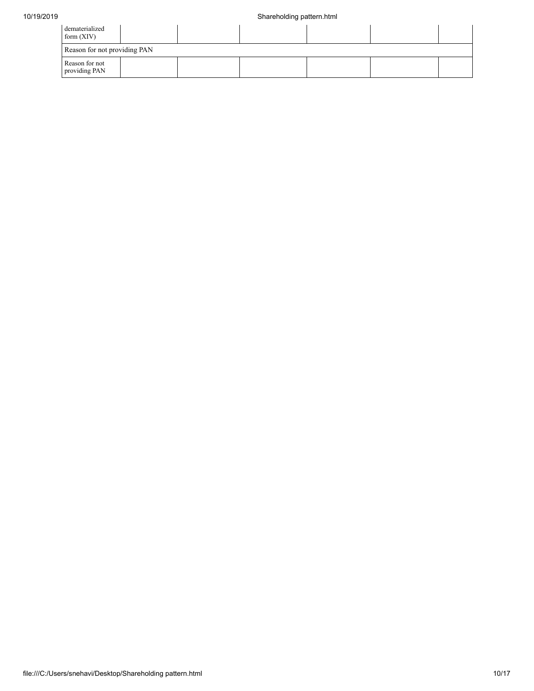| dematerialized<br>form $(XIV)$  |  |  |  |  |  |  |  |  |  |  |  |
|---------------------------------|--|--|--|--|--|--|--|--|--|--|--|
| Reason for not providing PAN    |  |  |  |  |  |  |  |  |  |  |  |
| Reason for not<br>providing PAN |  |  |  |  |  |  |  |  |  |  |  |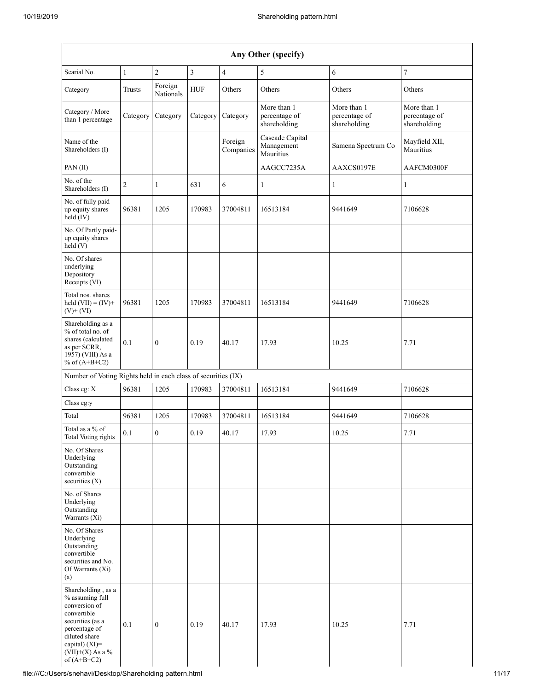| Any Other (specify)                                                                                                                                                                  |              |                      |            |                         |                                              |                                              |                                              |  |  |  |  |  |  |
|--------------------------------------------------------------------------------------------------------------------------------------------------------------------------------------|--------------|----------------------|------------|-------------------------|----------------------------------------------|----------------------------------------------|----------------------------------------------|--|--|--|--|--|--|
| Searial No.                                                                                                                                                                          | $\mathbf{1}$ | $\overline{c}$       | 3          | $\overline{\mathbf{4}}$ | 5                                            | 6                                            | $\boldsymbol{7}$                             |  |  |  |  |  |  |
| Category                                                                                                                                                                             | Trusts       | Foreign<br>Nationals | <b>HUF</b> | Others                  | Others                                       | Others                                       | Others                                       |  |  |  |  |  |  |
| Category / More<br>than 1 percentage                                                                                                                                                 | Category     | Category             | Category   | Category                | More than 1<br>percentage of<br>shareholding | More than 1<br>percentage of<br>shareholding | More than 1<br>percentage of<br>shareholding |  |  |  |  |  |  |
| Name of the<br>Shareholders (I)                                                                                                                                                      |              |                      |            | Foreign<br>Companies    | Cascade Capital<br>Management<br>Mauritius   | Samena Spectrum Co                           | Mayfield XII,<br>Mauritius                   |  |  |  |  |  |  |
| PAN(II)                                                                                                                                                                              |              |                      |            |                         | AAGCC7235A                                   | AAXCS0197E                                   | AAFCM0300F                                   |  |  |  |  |  |  |
| No. of the<br>Shareholders (I)                                                                                                                                                       | 2            | $\mathbf{1}$         | 631        | 6                       | 1                                            | 1                                            | $\mathbf{1}$                                 |  |  |  |  |  |  |
| No. of fully paid<br>up equity shares<br>held (IV)                                                                                                                                   | 96381        | 1205                 | 170983     | 37004811                | 16513184                                     | 9441649                                      | 7106628                                      |  |  |  |  |  |  |
| No. Of Partly paid-<br>up equity shares<br>held(V)                                                                                                                                   |              |                      |            |                         |                                              |                                              |                                              |  |  |  |  |  |  |
| No. Of shares<br>underlying<br>Depository<br>Receipts (VI)                                                                                                                           |              |                      |            |                         |                                              |                                              |                                              |  |  |  |  |  |  |
| Total nos. shares<br>held $(VII) = (IV) +$<br>$(V)$ + $(VI)$                                                                                                                         | 96381        | 1205                 | 170983     | 37004811                | 16513184                                     | 9441649                                      | 7106628                                      |  |  |  |  |  |  |
| Shareholding as a<br>% of total no. of<br>shares (calculated<br>as per SCRR,<br>1957) (VIII) As a<br>% of $(A+B+C2)$                                                                 | 0.1          | $\mathbf{0}$         | 0.19       | 40.17                   | 17.93                                        | 10.25                                        | 7.71                                         |  |  |  |  |  |  |
| Number of Voting Rights held in each class of securities (IX)                                                                                                                        |              |                      |            |                         |                                              |                                              |                                              |  |  |  |  |  |  |
| Class eg: X                                                                                                                                                                          | 96381        | 1205                 | 170983     | 37004811                | 16513184                                     | 9441649                                      | 7106628                                      |  |  |  |  |  |  |
| Class eg:y                                                                                                                                                                           |              |                      |            |                         |                                              |                                              |                                              |  |  |  |  |  |  |
| Total                                                                                                                                                                                | 96381        | 1205                 | 170983     | 37004811                | 16513184                                     | 9441649                                      | 7106628                                      |  |  |  |  |  |  |
| Total as a % of<br>Total Voting rights                                                                                                                                               | 0.1          | $\overline{0}$       | 0.19       | 40.17                   | 17.93                                        | 10.25                                        | 7.71                                         |  |  |  |  |  |  |
| No. Of Shares<br>Underlying<br>Outstanding<br>convertible<br>securities (X)                                                                                                          |              |                      |            |                         |                                              |                                              |                                              |  |  |  |  |  |  |
| No. of Shares<br>Underlying<br>Outstanding<br>Warrants $(X_i)$                                                                                                                       |              |                      |            |                         |                                              |                                              |                                              |  |  |  |  |  |  |
| No. Of Shares<br>Underlying<br>Outstanding<br>convertible<br>securities and No.<br>Of Warrants (Xi)<br>(a)                                                                           |              |                      |            |                         |                                              |                                              |                                              |  |  |  |  |  |  |
| Shareholding, as a<br>% assuming full<br>conversion of<br>convertible<br>securities (as a<br>percentage of<br>diluted share<br>capital) (XI)=<br>$(VII)+(X)$ As a %<br>of $(A+B+C2)$ | 0.1          | $\boldsymbol{0}$     | 0.19       | 40.17                   | 17.93                                        | 10.25                                        | 7.71                                         |  |  |  |  |  |  |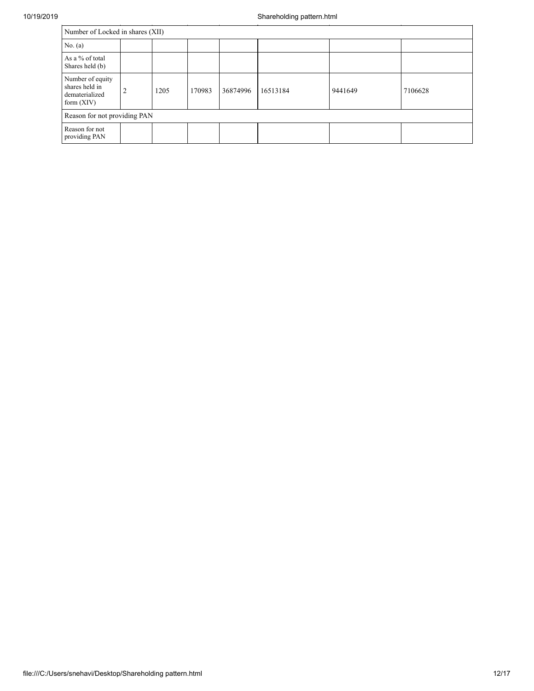| 10/19/2019 | Shareholding pattern.html                                            |                |      |        |          |          |         |         |  |  |  |  |
|------------|----------------------------------------------------------------------|----------------|------|--------|----------|----------|---------|---------|--|--|--|--|
|            | Number of Locked in shares (XII)                                     |                |      |        |          |          |         |         |  |  |  |  |
|            | No. $(a)$                                                            |                |      |        |          |          |         |         |  |  |  |  |
|            | As a % of total<br>Shares held (b)                                   |                |      |        |          |          |         |         |  |  |  |  |
|            | Number of equity<br>shares held in<br>dematerialized<br>form $(XIV)$ | $\bigcap$<br>∠ | 1205 | 170983 | 36874996 | 16513184 | 9441649 | 7106628 |  |  |  |  |
|            | Reason for not providing PAN                                         |                |      |        |          |          |         |         |  |  |  |  |
|            | Reason for not<br>providing PAN                                      |                |      |        |          |          |         |         |  |  |  |  |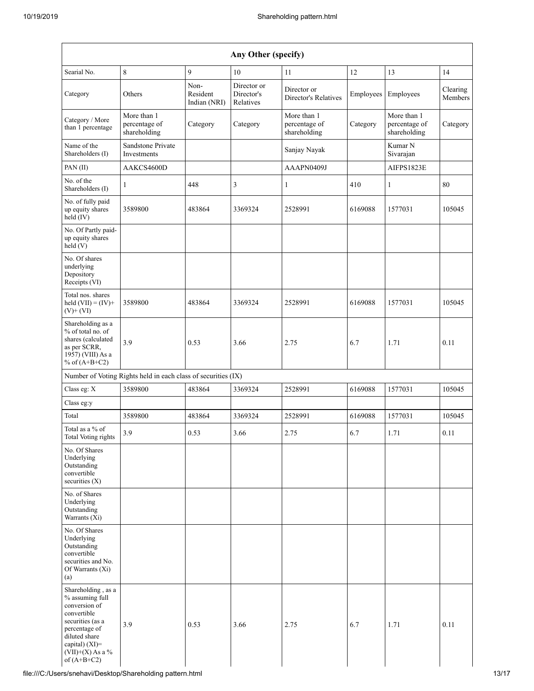| Any Other (specify)                                                                                                                                                                  |                                                               |                                  |                                        |                                              |           |                                              |                     |
|--------------------------------------------------------------------------------------------------------------------------------------------------------------------------------------|---------------------------------------------------------------|----------------------------------|----------------------------------------|----------------------------------------------|-----------|----------------------------------------------|---------------------|
| Searial No.                                                                                                                                                                          | $\,8\,$                                                       | 9                                | 10                                     | 11                                           | 12        | 13                                           | 14                  |
| Category                                                                                                                                                                             | Others                                                        | Non-<br>Resident<br>Indian (NRI) | Director or<br>Director's<br>Relatives | Director or<br>Director's Relatives          | Employees | Employees                                    | Clearing<br>Members |
| Category / More<br>than 1 percentage                                                                                                                                                 | More than 1<br>percentage of<br>shareholding                  | Category                         | Category                               | More than 1<br>percentage of<br>shareholding | Category  | More than 1<br>percentage of<br>shareholding | Category            |
| Name of the<br>Shareholders (I)                                                                                                                                                      | Sandstone Private<br>Investments                              |                                  |                                        | Sanjay Nayak                                 |           | Kumar N<br>Sivarajan                         |                     |
| PAN (II)                                                                                                                                                                             | AAKCS4600D                                                    |                                  |                                        | AAAPN0409J                                   |           | AIFPS1823E                                   |                     |
| No. of the<br>Shareholders (I)                                                                                                                                                       | 1                                                             | 448                              | 3                                      | $\mathbf{1}$                                 | 410       | 1                                            | 80                  |
| No. of fully paid<br>up equity shares<br>held (IV)                                                                                                                                   | 3589800                                                       | 483864                           | 3369324                                | 2528991                                      | 6169088   | 1577031                                      | 105045              |
| No. Of Partly paid-<br>up equity shares<br>held(V)                                                                                                                                   |                                                               |                                  |                                        |                                              |           |                                              |                     |
| No. Of shares<br>underlying<br>Depository<br>Receipts (VI)                                                                                                                           |                                                               |                                  |                                        |                                              |           |                                              |                     |
| Total nos. shares<br>held $(VII) = (IV) +$<br>$(V)$ + $(VI)$                                                                                                                         | 3589800                                                       | 483864                           | 3369324                                | 2528991                                      | 6169088   | 1577031                                      | 105045              |
| Shareholding as a<br>% of total no. of<br>shares (calculated<br>as per SCRR,<br>1957) (VIII) As a<br>% of $(A+B+C2)$                                                                 | 3.9                                                           | 0.53                             | 3.66                                   | 2.75                                         | 6.7       | 1.71                                         | 0.11                |
|                                                                                                                                                                                      | Number of Voting Rights held in each class of securities (IX) |                                  |                                        |                                              |           |                                              |                     |
| Class eg: X                                                                                                                                                                          | 3589800                                                       | 483864                           | 3369324                                | 2528991                                      | 6169088   | 1577031                                      | 105045              |
| Class eg:y                                                                                                                                                                           |                                                               |                                  |                                        |                                              |           |                                              |                     |
| Total                                                                                                                                                                                | 3589800                                                       | 483864                           | 3369324                                | 2528991                                      | 6169088   | 1577031                                      | 105045              |
| Total as a % of<br>Total Voting rights                                                                                                                                               | 3.9                                                           | 0.53                             | 3.66                                   | 2.75                                         | 6.7       | 1.71                                         | 0.11                |
| No. Of Shares<br>Underlying<br>Outstanding<br>convertible<br>securities $(X)$                                                                                                        |                                                               |                                  |                                        |                                              |           |                                              |                     |
| No. of Shares<br>Underlying<br>Outstanding<br>Warrants (Xi)                                                                                                                          |                                                               |                                  |                                        |                                              |           |                                              |                     |
| No. Of Shares<br>Underlying<br>Outstanding<br>convertible<br>securities and No.<br>Of Warrants (Xi)<br>(a)                                                                           |                                                               |                                  |                                        |                                              |           |                                              |                     |
| Shareholding, as a<br>% assuming full<br>conversion of<br>convertible<br>securities (as a<br>percentage of<br>diluted share<br>capital) (XI)=<br>$(VII)+(X)$ As a %<br>of $(A+B+C2)$ | 3.9                                                           | 0.53                             | 3.66                                   | 2.75                                         | 6.7       | 1.71                                         | 0.11                |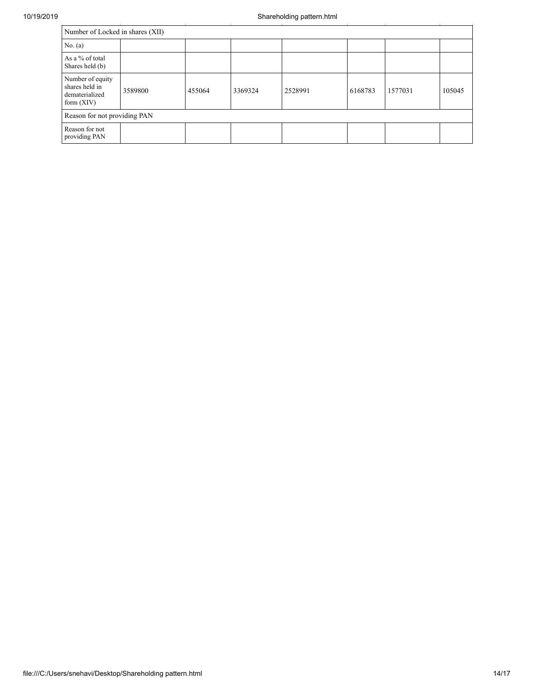| Number of Locked in shares (XII)                                     |         |        |         |         |         |         |        |
|----------------------------------------------------------------------|---------|--------|---------|---------|---------|---------|--------|
| No. (a)                                                              |         |        |         |         |         |         |        |
| As a % of total<br>Shares held (b)                                   |         |        |         |         |         |         |        |
| Number of equity<br>shares held in<br>dematerialized<br>form $(XIV)$ | 3589800 | 455064 | 3369324 | 2528991 | 6168783 | 1577031 | 105045 |
| Reason for not providing PAN                                         |         |        |         |         |         |         |        |
| Reason for not<br>providing PAN                                      |         |        |         |         |         |         |        |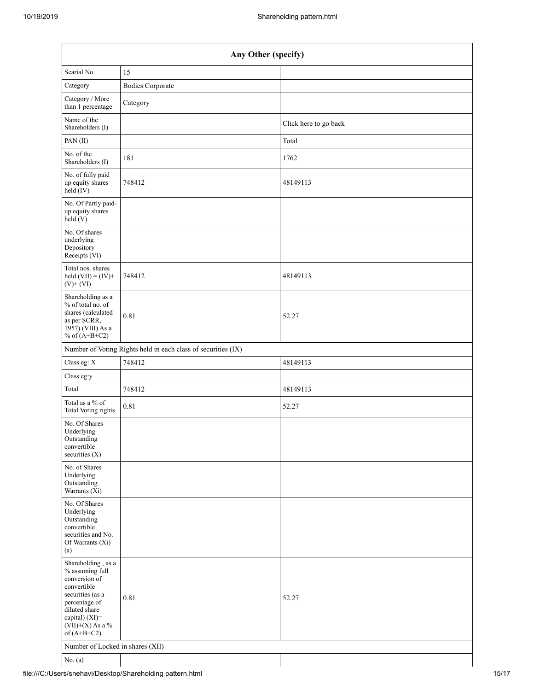| Any Other (specify)                                                                                                                                                                  |                                                               |                       |  |  |
|--------------------------------------------------------------------------------------------------------------------------------------------------------------------------------------|---------------------------------------------------------------|-----------------------|--|--|
| Searial No.                                                                                                                                                                          | 15                                                            |                       |  |  |
| Category                                                                                                                                                                             | <b>Bodies Corporate</b>                                       |                       |  |  |
| Category / More<br>than 1 percentage                                                                                                                                                 | Category                                                      |                       |  |  |
| Name of the<br>Shareholders (I)                                                                                                                                                      |                                                               | Click here to go back |  |  |
| PAN(II)                                                                                                                                                                              |                                                               | Total                 |  |  |
| No. of the<br>Shareholders (I)                                                                                                                                                       | 181                                                           | 1762                  |  |  |
| No. of fully paid<br>up equity shares<br>$held$ (IV)                                                                                                                                 | 748412                                                        | 48149113              |  |  |
| No. Of Partly paid-<br>up equity shares<br>$\hat{hel}$ (V)                                                                                                                           |                                                               |                       |  |  |
| No. Of shares<br>underlying<br>Depository<br>Receipts (VI)                                                                                                                           |                                                               |                       |  |  |
| Total nos. shares<br>held $(VII) = (IV) +$<br>$(V)$ + $(VI)$                                                                                                                         | 748412                                                        | 48149113              |  |  |
| Shareholding as a<br>% of total no. of<br>shares (calculated<br>as per SCRR,<br>1957) (VIII) As a<br>% of $(A+B+C2)$                                                                 | 0.81                                                          | 52.27                 |  |  |
|                                                                                                                                                                                      | Number of Voting Rights held in each class of securities (IX) |                       |  |  |
| Class eg: X                                                                                                                                                                          | 748412                                                        | 48149113              |  |  |
| Class eg:y                                                                                                                                                                           |                                                               |                       |  |  |
| Total                                                                                                                                                                                | 748412                                                        | 48149113              |  |  |
| Total as a $\%$ of<br><b>Total Voting rights</b>                                                                                                                                     | 0.81                                                          | 52.27                 |  |  |
| No. Of Shares<br>Underlying<br>Outstanding<br>convertible<br>securities $(X)$                                                                                                        |                                                               |                       |  |  |
| No. of Shares<br>Underlying<br>Outstanding<br>Warrants (Xi)                                                                                                                          |                                                               |                       |  |  |
| No. Of Shares<br>Underlying<br>Outstanding<br>convertible<br>securities and No.<br>Of Warrants (Xi)<br>(a)                                                                           |                                                               |                       |  |  |
| Shareholding, as a<br>% assuming full<br>conversion of<br>convertible<br>securities (as a<br>percentage of<br>diluted share<br>capital) (XI)=<br>$(VII)+(X)$ As a %<br>of $(A+B+C2)$ | 0.81                                                          | 52.27                 |  |  |
| Number of Locked in shares (XII)                                                                                                                                                     |                                                               |                       |  |  |
| No. $(a)$                                                                                                                                                                            |                                                               |                       |  |  |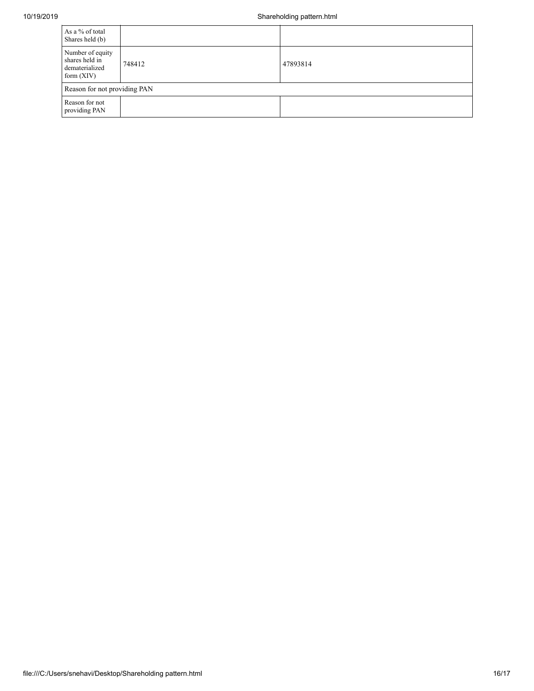| As a % of total<br>Shares held (b)                                   |        |          |  |  |
|----------------------------------------------------------------------|--------|----------|--|--|
| Number of equity<br>shares held in<br>dematerialized<br>form $(XIV)$ | 748412 | 47893814 |  |  |
| Reason for not providing PAN                                         |        |          |  |  |
| Reason for not<br>providing PAN                                      |        |          |  |  |